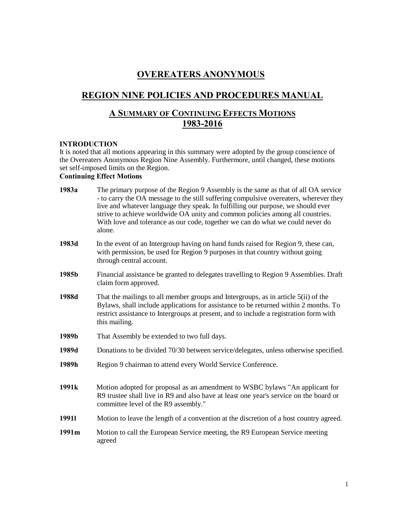# OVEREATERS ANONYMOUS

# REGION NINE POLICIES AND PROCEDURES MANUAL

# A SUMMARY OF CONTINUING EFFECTS MOTIONS 1983-2016

### **INTRODUCTION**

It is noted that all motions appearing in this summary were adopted by the group conscience of the Overeaters Anonymous Region Nine Assembly. Furthermore, until changed, these motions set self-imposed limits on the Region.

# Continuing Effect Motions

| 1983a             | The primary purpose of the Region 9 Assembly is the same as that of all OA service<br>- to carry the OA message to the still suffering compulsive overeaters, wherever they<br>live and whatever language they speak. In fulfilling our purpose, we should ever<br>strive to achieve worldwide OA unity and common policies among all countries.<br>With love and tolerance as our code, together we can do what we could never do<br>alone. |
|-------------------|----------------------------------------------------------------------------------------------------------------------------------------------------------------------------------------------------------------------------------------------------------------------------------------------------------------------------------------------------------------------------------------------------------------------------------------------|
| 1983d             | In the event of an Intergroup having on hand funds raised for Region 9, these can,<br>with permission, be used for Region 9 purposes in that country without going<br>through central account.                                                                                                                                                                                                                                               |
| 1985b             | Financial assistance be granted to delegates travelling to Region 9 Assemblies. Draft<br>claim form approved.                                                                                                                                                                                                                                                                                                                                |
| 1988d             | That the mailings to all member groups and Intergroups, as in article 5(ii) of the<br>Bylaws, shall include applications for assistance to be returned within 2 months. To<br>restrict assistance to Intergroups at present, and to include a registration form with<br>this mailing.                                                                                                                                                        |
| 1989b             | That Assembly be extended to two full days.                                                                                                                                                                                                                                                                                                                                                                                                  |
| 1989d             | Donations to be divided 70/30 between service/delegates, unless otherwise specified.                                                                                                                                                                                                                                                                                                                                                         |
| 1989h             | Region 9 chairman to attend every World Service Conference.                                                                                                                                                                                                                                                                                                                                                                                  |
| 1991 <sub>k</sub> | Motion adopted for proposal as an amendment to WSBC bylaws "An applicant for<br>R9 trustee shall live in R9 and also have at least one year's service on the board or<br>committee level of the R9 assembly."                                                                                                                                                                                                                                |
| 19911             | Motion to leave the length of a convention at the discretion of a host country agreed.                                                                                                                                                                                                                                                                                                                                                       |
| 1991m             | Motion to call the European Service meeting, the R9 European Service meeting<br>agreed                                                                                                                                                                                                                                                                                                                                                       |
|                   |                                                                                                                                                                                                                                                                                                                                                                                                                                              |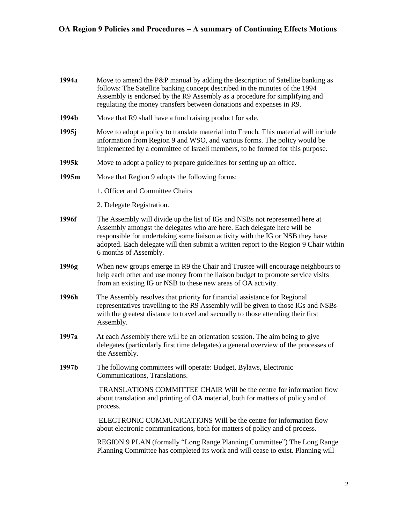| 1994a | Move to amend the P&P manual by adding the description of Satellite banking as<br>follows: The Satellite banking concept described in the minutes of the 1994<br>Assembly is endorsed by the R9 Assembly as a procedure for simplifying and<br>regulating the money transfers between donations and expenses in R9.                                         |
|-------|-------------------------------------------------------------------------------------------------------------------------------------------------------------------------------------------------------------------------------------------------------------------------------------------------------------------------------------------------------------|
| 1994b | Move that R9 shall have a fund raising product for sale.                                                                                                                                                                                                                                                                                                    |
| 1995j | Move to adopt a policy to translate material into French. This material will include<br>information from Region 9 and WSO, and various forms. The policy would be<br>implemented by a committee of Israeli members, to be formed for this purpose.                                                                                                          |
| 1995k | Move to adopt a policy to prepare guidelines for setting up an office.                                                                                                                                                                                                                                                                                      |
| 1995m | Move that Region 9 adopts the following forms:                                                                                                                                                                                                                                                                                                              |
|       | 1. Officer and Committee Chairs                                                                                                                                                                                                                                                                                                                             |
|       | 2. Delegate Registration.                                                                                                                                                                                                                                                                                                                                   |
| 1996f | The Assembly will divide up the list of IGs and NSBs not represented here at<br>Assembly amongst the delegates who are here. Each delegate here will be<br>responsible for undertaking some liaison activity with the IG or NSB they have<br>adopted. Each delegate will then submit a written report to the Region 9 Chair within<br>6 months of Assembly. |
| 1996g | When new groups emerge in R9 the Chair and Trustee will encourage neighbours to<br>help each other and use money from the liaison budget to promote service visits<br>from an existing IG or NSB to these new areas of OA activity.                                                                                                                         |
| 1996h | The Assembly resolves that priority for financial assistance for Regional<br>representatives travelling to the R9 Assembly will be given to those IGs and NSBs<br>with the greatest distance to travel and secondly to those attending their first<br>Assembly.                                                                                             |
| 1997a | At each Assembly there will be an orientation session. The aim being to give<br>delegates (particularly first time delegates) a general overview of the processes of<br>the Assembly.                                                                                                                                                                       |
| 1997b | The following committees will operate: Budget, Bylaws, Electronic<br>Communications, Translations.                                                                                                                                                                                                                                                          |
|       | TRANSLATIONS COMMITTEE CHAIR Will be the centre for information flow<br>about translation and printing of OA material, both for matters of policy and of<br>process.                                                                                                                                                                                        |
|       | ELECTRONIC COMMUNICATIONS Will be the centre for information flow<br>about electronic communications, both for matters of policy and of process.                                                                                                                                                                                                            |
|       | REGION 9 PLAN (formally "Long Range Planning Committee") The Long Range<br>Planning Committee has completed its work and will cease to exist. Planning will                                                                                                                                                                                                 |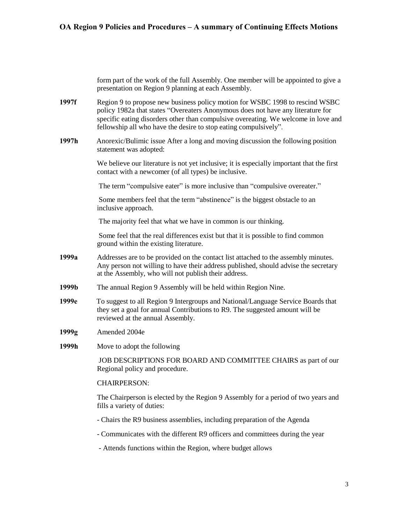form part of the work of the full Assembly. One member will be appointed to give a presentation on Region 9 planning at each Assembly.

- 1997f Region 9 to propose new business policy motion for WSBC 1998 to rescind WSBC policy 1982a that states "Overeaters Anonymous does not have any literature for specific eating disorders other than compulsive overeating. We welcome in love and fellowship all who have the desire to stop eating compulsively".
- 1997h Anorexic/Bulimic issue After a long and moving discussion the following position statement was adopted:

We believe our literature is not yet inclusive; it is especially important that the first contact with a newcomer (of all types) be inclusive.

The term "compulsive eater" is more inclusive than "compulsive overeater."

Some members feel that the term "abstinence" is the biggest obstacle to an inclusive approach.

The majority feel that what we have in common is our thinking.

Some feel that the real differences exist but that it is possible to find common ground within the existing literature.

- 1999a Addresses are to be provided on the contact list attached to the assembly minutes. Any person not willing to have their address published, should advise the secretary at the Assembly, who will not publish their address.
- 1999b The annual Region 9 Assembly will be held within Region Nine.
- 1999e To suggest to all Region 9 Intergroups and National/Language Service Boards that they set a goal for annual Contributions to R9. The suggested amount will be reviewed at the annual Assembly.
- 1999g Amended 2004e
- 1999h Move to adopt the following

JOB DESCRIPTIONS FOR BOARD AND COMMITTEE CHAIRS as part of our Regional policy and procedure.

### CHAIRPERSON:

The Chairperson is elected by the Region 9 Assembly for a period of two years and fills a variety of duties:

- Chairs the R9 business assemblies, including preparation of the Agenda
- Communicates with the different R9 officers and committees during the year
- Attends functions within the Region, where budget allows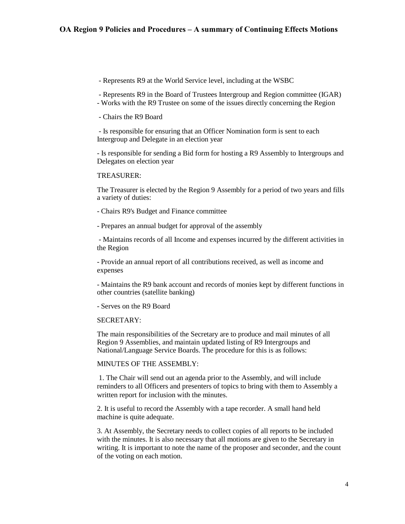- Represents R9 at the World Service level, including at the WSBC

- Represents R9 in the Board of Trustees Intergroup and Region committee (IGAR)
- Works with the R9 Trustee on some of the issues directly concerning the Region
- Chairs the R9 Board

- Is responsible for ensuring that an Officer Nomination form is sent to each Intergroup and Delegate in an election year

- Is responsible for sending a Bid form for hosting a R9 Assembly to Intergroups and Delegates on election year

#### TREASURER:

The Treasurer is elected by the Region 9 Assembly for a period of two years and fills a variety of duties:

- Chairs R9's Budget and Finance committee

- Prepares an annual budget for approval of the assembly

- Maintains records of all Income and expenses incurred by the different activities in the Region

- Provide an annual report of all contributions received, as well as income and expenses

- Maintains the R9 bank account and records of monies kept by different functions in other countries (satellite banking)

- Serves on the R9 Board

### SECRETARY:

The main responsibilities of the Secretary are to produce and mail minutes of all Region 9 Assemblies, and maintain updated listing of R9 Intergroups and National/Language Service Boards. The procedure for this is as follows:

### MINUTES OF THE ASSEMBLY:

1. The Chair will send out an agenda prior to the Assembly, and will include reminders to all Officers and presenters of topics to bring with them to Assembly a written report for inclusion with the minutes.

2. It is useful to record the Assembly with a tape recorder. A small hand held machine is quite adequate.

3. At Assembly, the Secretary needs to collect copies of all reports to be included with the minutes. It is also necessary that all motions are given to the Secretary in writing. It is important to note the name of the proposer and seconder, and the count of the voting on each motion.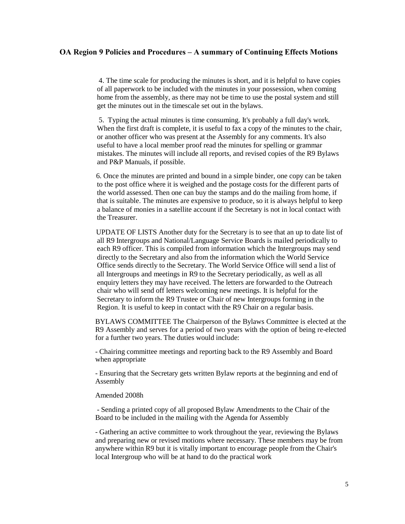4. The time scale for producing the minutes is short, and it is helpful to have copies of all paperwork to be included with the minutes in your possession, when coming home from the assembly, as there may not be time to use the postal system and still get the minutes out in the timescale set out in the bylaws.

5. Typing the actual minutes is time consuming. It's probably a full day's work. When the first draft is complete, it is useful to fax a copy of the minutes to the chair, or another officer who was present at the Assembly for any comments. It's also useful to have a local member proof read the minutes for spelling or grammar mistakes. The minutes will include all reports, and revised copies of the R9 Bylaws and P&P Manuals, if possible.

6. Once the minutes are printed and bound in a simple binder, one copy can be taken to the post office where it is weighed and the postage costs for the different parts of the world assessed. Then one can buy the stamps and do the mailing from home, if that is suitable. The minutes are expensive to produce, so it is always helpful to keep a balance of monies in a satellite account if the Secretary is not in local contact with the Treasurer.

UPDATE OF LISTS Another duty for the Secretary is to see that an up to date list of all R9 Intergroups and National/Language Service Boards is mailed periodically to each R9 officer. This is compiled from information which the Intergroups may send directly to the Secretary and also from the information which the World Service Office sends directly to the Secretary. The World Service Office will send a list of all Intergroups and meetings in R9 to the Secretary periodically, as well as all enquiry letters they may have received. The letters are forwarded to the Outreach chair who will send off letters welcoming new meetings. It is helpful for the Secretary to inform the R9 Trustee or Chair of new Intergroups forming in the Region. It is useful to keep in contact with the R9 Chair on a regular basis.

BYLAWS COMMITTEE The Chairperson of the Bylaws Committee is elected at the R9 Assembly and serves for a period of two years with the option of being re-elected for a further two years. The duties would include:

- Chairing committee meetings and reporting back to the R9 Assembly and Board when appropriate

- Ensuring that the Secretary gets written Bylaw reports at the beginning and end of Assembly

#### Amended 2008h

- Sending a printed copy of all proposed Bylaw Amendments to the Chair of the Board to be included in the mailing with the Agenda for Assembly

- Gathering an active committee to work throughout the year, reviewing the Bylaws and preparing new or revised motions where necessary. These members may be from anywhere within R9 but it is vitally important to encourage people from the Chair's local Intergroup who will be at hand to do the practical work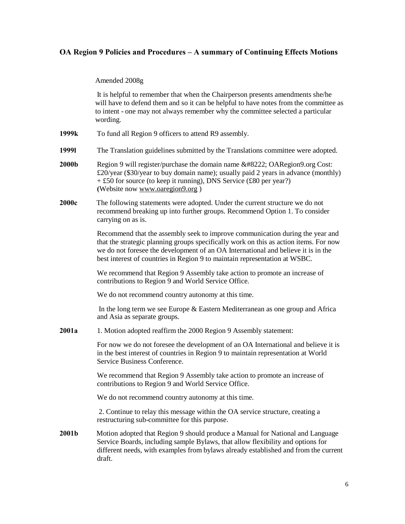Amended 2008g

It is helpful to remember that when the Chairperson presents amendments she/he will have to defend them and so it can be helpful to have notes from the committee as to intent - one may not always remember why the committee selected a particular wording.

- 1999k To fund all Region 9 officers to attend R9 assembly.
- 1999l The Translation guidelines submitted by the Translations committee were adopted.
- **2000b** Region 9 will register/purchase the domain name  $\&\#8222$ ; OARegion9.org Cost: £20/year (\$30/year to buy domain name); usually paid 2 years in advance (monthly) + £50 for source (to keep it running), DNS Service (£80 per year?) (Website no[w www.oaregion9.org](http://www.oaregion9.org/) )
- 2000c The following statements were adopted. Under the current structure we do not recommend breaking up into further groups. Recommend Option 1. To consider carrying on as is.

Recommend that the assembly seek to improve communication during the year and that the strategic planning groups specifically work on this as action items. For now we do not foresee the development of an OA International and believe it is in the best interest of countries in Region 9 to maintain representation at WSBC.

We recommend that Region 9 Assembly take action to promote an increase of contributions to Region 9 and World Service Office.

We do not recommend country autonomy at this time.

In the long term we see Europe & Eastern Mediterranean as one group and Africa and Asia as separate groups.

2001a 1. Motion adopted reaffirm the 2000 Region 9 Assembly statement:

For now we do not foresee the development of an OA International and believe it is in the best interest of countries in Region 9 to maintain representation at World Service Business Conference.

We recommend that Region 9 Assembly take action to promote an increase of contributions to Region 9 and World Service Office.

We do not recommend country autonomy at this time.

2. Continue to relay this message within the OA service structure, creating a restructuring sub-committee for this purpose.

2001b Motion adopted that Region 9 should produce a Manual for National and Language Service Boards, including sample Bylaws, that allow flexibility and options for different needs, with examples from bylaws already established and from the current draft.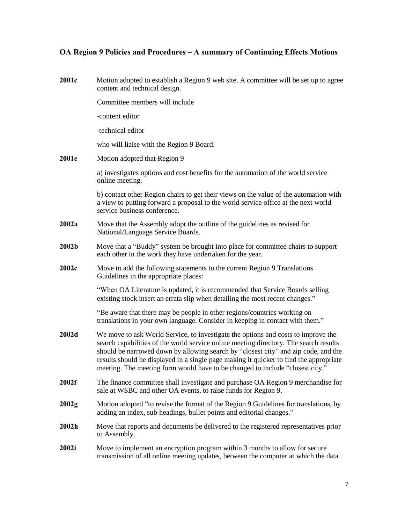| 2001c | Motion adopted to establish a Region 9 web site. A committee will be set up to agree<br>content and technical design.                                                                                                                                                                                                                                                                                                                       |
|-------|---------------------------------------------------------------------------------------------------------------------------------------------------------------------------------------------------------------------------------------------------------------------------------------------------------------------------------------------------------------------------------------------------------------------------------------------|
|       | Committee members will include                                                                                                                                                                                                                                                                                                                                                                                                              |
|       | -content editor                                                                                                                                                                                                                                                                                                                                                                                                                             |
|       | -technical editor                                                                                                                                                                                                                                                                                                                                                                                                                           |
|       | who will liaise with the Region 9 Board.                                                                                                                                                                                                                                                                                                                                                                                                    |
| 2001e | Motion adopted that Region 9                                                                                                                                                                                                                                                                                                                                                                                                                |
|       | a) investigates options and cost benefits for the automation of the world service<br>online meeting.                                                                                                                                                                                                                                                                                                                                        |
|       | b) contact other Region chairs to get their views on the value of the automation with<br>a view to putting forward a proposal to the world service office at the next world<br>service business conference.                                                                                                                                                                                                                                 |
| 2002a | Move that the Assembly adopt the outline of the guidelines as revised for<br>National/Language Service Boards.                                                                                                                                                                                                                                                                                                                              |
| 2002b | Move that a "Buddy" system be brought into place for committee chairs to support<br>each other in the work they have undertaken for the year.                                                                                                                                                                                                                                                                                               |
| 2002c | Move to add the following statements to the current Region 9 Translations<br>Guidelines in the appropriate places:                                                                                                                                                                                                                                                                                                                          |
|       | "When OA Literature is updated, it is recommended that Service Boards selling<br>existing stock insert an errata slip when detailing the most recent changes."                                                                                                                                                                                                                                                                              |
|       | "Be aware that there may be people in other regions/countries working on<br>translations in your own language. Consider in keeping in contact with them."                                                                                                                                                                                                                                                                                   |
| 2002d | We move to ask World Service, to investigate the options and costs to improve the<br>search capabilities of the world service online meeting directory. The search results<br>should be narrowed down by allowing search by "closest city" and zip code, and the<br>results should be displayed in a single page making it quicker to find the appropriate<br>meeting. The meeting form would have to be changed to include "closest city." |
| 2002f | The finance committee shall investigate and purchase OA Region 9 merchandise for<br>sale at WSBC and other OA events, to raise funds for Region 9.                                                                                                                                                                                                                                                                                          |
| 2002g | Motion adopted "to revise the format of the Region 9 Guidelines for translations, by<br>adding an index, sub-headings, bullet points and editorial changes."                                                                                                                                                                                                                                                                                |
| 2002h | Move that reports and documents be delivered to the registered representatives prior<br>to Assembly.                                                                                                                                                                                                                                                                                                                                        |
| 2002i | Move to implement an encryption program within 3 months to allow for secure<br>transmission of all online meeting updates, between the computer at which the data                                                                                                                                                                                                                                                                           |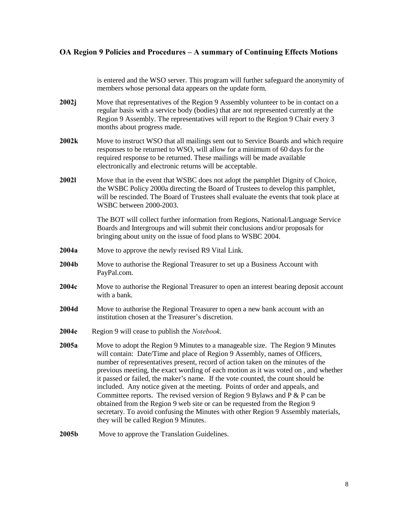is entered and the WSO server. This program will further safeguard the anonymity of members whose personal data appears on the update form.

- 2002j Move that representatives of the Region 9 Assembly volunteer to be in contact on a regular basis with a service body (bodies) that are not represented currently at the Region 9 Assembly. The representatives will report to the Region 9 Chair every 3 months about progress made.
- 2002k Move to instruct WSO that all mailings sent out to Service Boards and which require responses to be returned to WSO, will allow for a minimum of 60 days for the required response to be returned. These mailings will be made available electronically and electronic returns will be acceptable.
- 2002l Move that in the event that WSBC does not adopt the pamphlet Dignity of Choice, the WSBC Policy 2000a directing the Board of Trustees to develop this pamphlet, will be rescinded. The Board of Trustees shall evaluate the events that took place at WSBC between 2000-2003.

The BOT will collect further information from Regions, National/Language Service Boards and Intergroups and will submit their conclusions and/or proposals for bringing about unity on the issue of food plans to WSBC 2004.

- 2004a Move to approve the newly revised R9 Vital Link.
- 2004b Move to authorise the Regional Treasurer to set up a Business Account with PayPal.com.
- 2004c Move to authorise the Regional Treasurer to open an interest bearing deposit account with a bank.
- 2004d Move to authorise the Regional Treasurer to open a new bank account with an institution chosen at the Treasurer's discretion.
- 2004e Region 9 will cease to publish the *Notebook*.
- 2005a Move to adopt the Region 9 Minutes to a manageable size. The Region 9 Minutes will contain: Date/Time and place of Region 9 Assembly, names of Officers, number of representatives present, record of action taken on the minutes of the previous meeting, the exact wording of each motion as it was voted on , and whether it passed or failed, the maker's name. If the vote counted, the count should be included. Any notice given at the meeting. Points of order and appeals, and Committee reports. The revised version of Region 9 Bylaws and P & P can be obtained from the Region 9 web site or can be requested from the Region 9 secretary. To avoid confusing the Minutes with other Region 9 Assembly materials, they will be called Region 9 Minutes.

2005b Move to approve the Translation Guidelines.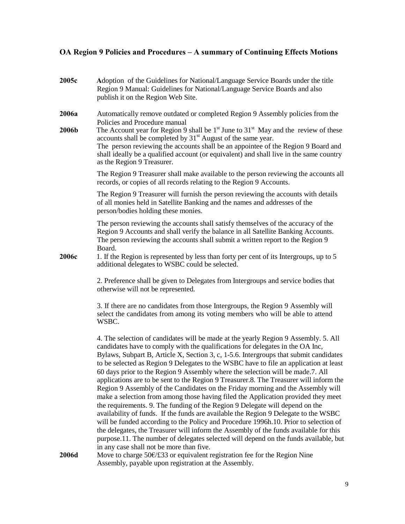| 2005c          | Adoption of the Guidelines for National/Language Service Boards under the title<br>Region 9 Manual: Guidelines for National/Language Service Boards and also<br>publish it on the Region Web Site.                                                                                                                                                                                                                                                                                                                                                                                                                                                                                                                                                                                                                                                                                                                                                                                                                                                                                                                                                                                                      |
|----------------|---------------------------------------------------------------------------------------------------------------------------------------------------------------------------------------------------------------------------------------------------------------------------------------------------------------------------------------------------------------------------------------------------------------------------------------------------------------------------------------------------------------------------------------------------------------------------------------------------------------------------------------------------------------------------------------------------------------------------------------------------------------------------------------------------------------------------------------------------------------------------------------------------------------------------------------------------------------------------------------------------------------------------------------------------------------------------------------------------------------------------------------------------------------------------------------------------------|
| 2006a<br>2006b | Automatically remove outdated or completed Region 9 Assembly policies from the<br>Policies and Procedure manual<br>The Account year for Region 9 shall be $1st$ June to $31st$ May and the review of these<br>accounts shall be completed by 31 <sup>st</sup> August of the same year.<br>The person reviewing the accounts shall be an appointee of the Region 9 Board and<br>shall ideally be a qualified account (or equivalent) and shall live in the same country<br>as the Region 9 Treasurer.                                                                                                                                                                                                                                                                                                                                                                                                                                                                                                                                                                                                                                                                                                    |
|                | The Region 9 Treasurer shall make available to the person reviewing the accounts all<br>records, or copies of all records relating to the Region 9 Accounts.                                                                                                                                                                                                                                                                                                                                                                                                                                                                                                                                                                                                                                                                                                                                                                                                                                                                                                                                                                                                                                            |
|                | The Region 9 Treasurer will furnish the person reviewing the accounts with details<br>of all monies held in Satellite Banking and the names and addresses of the<br>person/bodies holding these monies.                                                                                                                                                                                                                                                                                                                                                                                                                                                                                                                                                                                                                                                                                                                                                                                                                                                                                                                                                                                                 |
|                | The person reviewing the accounts shall satisfy themselves of the accuracy of the<br>Region 9 Accounts and shall verify the balance in all Satellite Banking Accounts.<br>The person reviewing the accounts shall submit a written report to the Region 9<br>Board.                                                                                                                                                                                                                                                                                                                                                                                                                                                                                                                                                                                                                                                                                                                                                                                                                                                                                                                                     |
| 2006c          | 1. If the Region is represented by less than forty per cent of its Intergroups, up to 5<br>additional delegates to WSBC could be selected.                                                                                                                                                                                                                                                                                                                                                                                                                                                                                                                                                                                                                                                                                                                                                                                                                                                                                                                                                                                                                                                              |
|                | 2. Preference shall be given to Delegates from Intergroups and service bodies that<br>otherwise will not be represented.                                                                                                                                                                                                                                                                                                                                                                                                                                                                                                                                                                                                                                                                                                                                                                                                                                                                                                                                                                                                                                                                                |
|                | 3. If there are no candidates from those Intergroups, the Region 9 Assembly will<br>select the candidates from among its voting members who will be able to attend<br>WSBC.                                                                                                                                                                                                                                                                                                                                                                                                                                                                                                                                                                                                                                                                                                                                                                                                                                                                                                                                                                                                                             |
|                | 4. The selection of candidates will be made at the yearly Region 9 Assembly. 5. All<br>candidates have to comply with the qualifications for delegates in the OA Inc,<br>Bylaws, Subpart B, Article X, Section 3, c, 1-5.6. Intergroups that submit candidates<br>to be selected as Region 9 Delegates to the WSBC have to file an application at least<br>60 days prior to the Region 9 Assembly where the selection will be made.7. All<br>applications are to be sent to the Region 9 Treasurer.8. The Treasurer will inform the<br>Region 9 Assembly of the Candidates on the Friday morning and the Assembly will<br>make a selection from among those having filed the Application provided they meet<br>the requirements. 9. The funding of the Region 9 Delegate will depend on the<br>availability of funds. If the funds are available the Region 9 Delegate to the WSBC<br>will be funded according to the Policy and Procedure 1996h.10. Prior to selection of<br>the delegates, the Treasurer will inform the Assembly of the funds available for this<br>purpose.11. The number of delegates selected will depend on the funds available, but<br>in any case shall not be more than five. |
| 2006d          | Move to charge 50€/£33 or equivalent registration fee for the Region Nine<br>Assembly, payable upon registration at the Assembly.                                                                                                                                                                                                                                                                                                                                                                                                                                                                                                                                                                                                                                                                                                                                                                                                                                                                                                                                                                                                                                                                       |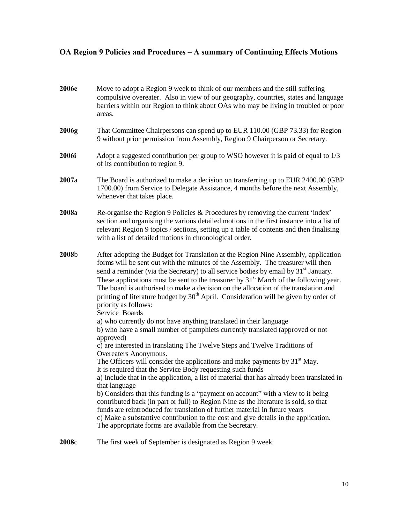| 2006e | Move to adopt a Region 9 week to think of our members and the still suffering<br>compulsive overeater. Also in view of our geography, countries, states and language<br>barriers within our Region to think about OAs who may be living in troubled or poor<br>areas.                                                                                                                                                                                                                                                                                                                           |
|-------|-------------------------------------------------------------------------------------------------------------------------------------------------------------------------------------------------------------------------------------------------------------------------------------------------------------------------------------------------------------------------------------------------------------------------------------------------------------------------------------------------------------------------------------------------------------------------------------------------|
| 2006g | That Committee Chairpersons can spend up to EUR 110.00 (GBP 73.33) for Region<br>9 without prior permission from Assembly, Region 9 Chairperson or Secretary.                                                                                                                                                                                                                                                                                                                                                                                                                                   |
| 2006i | Adopt a suggested contribution per group to WSO however it is paid of equal to 1/3<br>of its contribution to region 9.                                                                                                                                                                                                                                                                                                                                                                                                                                                                          |
| 2007a | The Board is authorized to make a decision on transferring up to EUR 2400.00 (GBP)<br>1700.00) from Service to Delegate Assistance, 4 months before the next Assembly,<br>whenever that takes place.                                                                                                                                                                                                                                                                                                                                                                                            |
| 2008a | Re-organise the Region 9 Policies & Procedures by removing the current 'index'<br>section and organising the various detailed motions in the first instance into a list of<br>relevant Region 9 topics / sections, setting up a table of contents and then finalising<br>with a list of detailed motions in chronological order.                                                                                                                                                                                                                                                                |
| 2008b | After adopting the Budget for Translation at the Region Nine Assembly, application<br>forms will be sent out with the minutes of the Assembly. The treasurer will then<br>send a reminder (via the Secretary) to all service bodies by email by 31 <sup>st</sup> January.<br>These applications must be sent to the treasurer by $31st$ March of the following year.<br>The board is authorised to make a decision on the allocation of the translation and<br>printing of literature budget by $30th$ April. Consideration will be given by order of<br>priority as follows:<br>Service Boards |
|       | a) who currently do not have anything translated in their language<br>b) who have a small number of pamphlets currently translated (approved or not                                                                                                                                                                                                                                                                                                                                                                                                                                             |
|       | approved)                                                                                                                                                                                                                                                                                                                                                                                                                                                                                                                                                                                       |
|       | c) are interested in translating The Twelve Steps and Twelve Traditions of<br>Overeaters Anonymous.                                                                                                                                                                                                                                                                                                                                                                                                                                                                                             |
|       | The Officers will consider the applications and make payments by $31st$ May.                                                                                                                                                                                                                                                                                                                                                                                                                                                                                                                    |
|       | It is required that the Service Body requesting such funds<br>a) Include that in the application, a list of material that has already been translated in                                                                                                                                                                                                                                                                                                                                                                                                                                        |
|       | that language                                                                                                                                                                                                                                                                                                                                                                                                                                                                                                                                                                                   |
|       | b) Considers that this funding is a "payment on account" with a view to it being<br>contributed back (in part or full) to Region Nine as the literature is sold, so that<br>funds are reintroduced for translation of further material in future years<br>c) Make a substantive contribution to the cost and give details in the application.<br>The appropriate forms are available from the Secretary.                                                                                                                                                                                        |
| 2008c | The first week of September is designated as Region 9 week.                                                                                                                                                                                                                                                                                                                                                                                                                                                                                                                                     |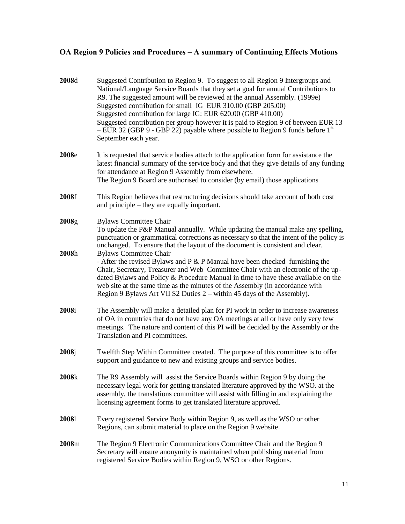| 2008d          | Suggested Contribution to Region 9. To suggest to all Region 9 Intergroups and<br>National/Language Service Boards that they set a goal for annual Contributions to<br>R9. The suggested amount will be reviewed at the annual Assembly. (1999e)<br>Suggested contribution for small IG EUR 310.00 (GBP 205.00)<br>Suggested contribution for large IG: EUR 620.00 (GBP 410.00)<br>Suggested contribution per group however it is paid to Region 9 of between EUR 13<br>$-$ EUR 32 (GBP 9 - GBP 22) payable where possible to Region 9 funds before 1 <sup>st</sup><br>September each year. |
|----------------|---------------------------------------------------------------------------------------------------------------------------------------------------------------------------------------------------------------------------------------------------------------------------------------------------------------------------------------------------------------------------------------------------------------------------------------------------------------------------------------------------------------------------------------------------------------------------------------------|
| 2008e          | It is requested that service bodies attach to the application form for assistance the<br>latest financial summary of the service body and that they give details of any funding<br>for attendance at Region 9 Assembly from elsewhere.<br>The Region 9 Board are authorised to consider (by email) those applications                                                                                                                                                                                                                                                                       |
| 2008f          | This Region believes that restructuring decisions should take account of both cost<br>and principle – they are equally important.                                                                                                                                                                                                                                                                                                                                                                                                                                                           |
| 2008g<br>2008h | <b>Bylaws Committee Chair</b><br>To update the P&P Manual annually. While updating the manual make any spelling,<br>punctuation or grammatical corrections as necessary so that the intent of the policy is<br>unchanged. To ensure that the layout of the document is consistent and clear.<br><b>Bylaws Committee Chair</b>                                                                                                                                                                                                                                                               |
|                | - After the revised Bylaws and $P \& P$ Manual have been checked furnishing the<br>Chair, Secretary, Treasurer and Web Committee Chair with an electronic of the up-<br>dated Bylaws and Policy & Procedure Manual in time to have these available on the<br>web site at the same time as the minutes of the Assembly (in accordance with<br>Region 9 Bylaws Art VII S2 Duties 2 – within 45 days of the Assembly).                                                                                                                                                                         |
| 2008i          | The Assembly will make a detailed plan for PI work in order to increase awareness<br>of OA in countries that do not have any OA meetings at all or have only very few<br>meetings. The nature and content of this PI will be decided by the Assembly or the<br>Translation and PI committees.                                                                                                                                                                                                                                                                                               |
| 2008j          | Twelfth Step Within Committee created. The purpose of this committee is to offer<br>support and guidance to new and existing groups and service bodies.                                                                                                                                                                                                                                                                                                                                                                                                                                     |
| 2008k          | The R9 Assembly will assist the Service Boards within Region 9 by doing the<br>necessary legal work for getting translated literature approved by the WSO. at the<br>assembly, the translations committee will assist with filling in and explaining the<br>licensing agreement forms to get translated literature approved.                                                                                                                                                                                                                                                                |
| 20081          | Every registered Service Body within Region 9, as well as the WSO or other<br>Regions, can submit material to place on the Region 9 website.                                                                                                                                                                                                                                                                                                                                                                                                                                                |
| 2008m          | The Region 9 Electronic Communications Committee Chair and the Region 9<br>Secretary will ensure anonymity is maintained when publishing material from<br>registered Service Bodies within Region 9, WSO or other Regions.                                                                                                                                                                                                                                                                                                                                                                  |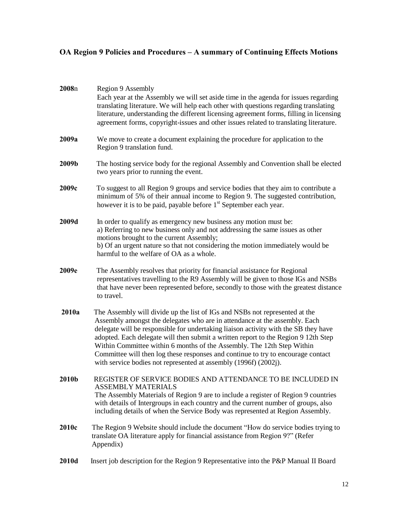| 2008n | Region 9 Assembly<br>Each year at the Assembly we will set aside time in the agenda for issues regarding<br>translating literature. We will help each other with questions regarding translating<br>literature, understanding the different licensing agreement forms, filling in licensing<br>agreement forms, copyright-issues and other issues related to translating literature.                                                                                                                                                                                     |
|-------|--------------------------------------------------------------------------------------------------------------------------------------------------------------------------------------------------------------------------------------------------------------------------------------------------------------------------------------------------------------------------------------------------------------------------------------------------------------------------------------------------------------------------------------------------------------------------|
| 2009a | We move to create a document explaining the procedure for application to the<br>Region 9 translation fund.                                                                                                                                                                                                                                                                                                                                                                                                                                                               |
| 2009b | The hosting service body for the regional Assembly and Convention shall be elected<br>two years prior to running the event.                                                                                                                                                                                                                                                                                                                                                                                                                                              |
| 2009c | To suggest to all Region 9 groups and service bodies that they aim to contribute a<br>minimum of 5% of their annual income to Region 9. The suggested contribution,<br>however it is to be paid, payable before 1 <sup>st</sup> September each year.                                                                                                                                                                                                                                                                                                                     |
| 2009d | In order to qualify as emergency new business any motion must be:<br>a) Referring to new business only and not addressing the same issues as other<br>motions brought to the current Assembly;<br>b) Of an urgent nature so that not considering the motion immediately would be<br>harmful to the welfare of OA as a whole.                                                                                                                                                                                                                                             |
| 2009e | The Assembly resolves that priority for financial assistance for Regional<br>representatives travelling to the R9 Assembly will be given to those IGs and NSBs<br>that have never been represented before, secondly to those with the greatest distance<br>to travel.                                                                                                                                                                                                                                                                                                    |
| 2010a | The Assembly will divide up the list of IGs and NSBs not represented at the<br>Assembly amongst the delegates who are in attendance at the assembly. Each<br>delegate will be responsible for undertaking liaison activity with the SB they have<br>adopted. Each delegate will then submit a written report to the Region 9 12th Step<br>Within Committee within 6 months of the Assembly. The 12th Step Within<br>Committee will then log these responses and continue to try to encourage contact<br>with service bodies not represented at assembly (1996f) (2002j). |
| 2010b | REGISTER OF SERVICE BODIES AND ATTENDANCE TO BE INCLUDED IN<br><b>ASSEMBLY MATERIALS</b><br>The Assembly Materials of Region 9 are to include a register of Region 9 countries<br>with details of Intergroups in each country and the current number of groups, also<br>including details of when the Service Body was represented at Region Assembly.                                                                                                                                                                                                                   |
| 2010c | The Region 9 Website should include the document "How do service bodies trying to<br>translate OA literature apply for financial assistance from Region 9?" (Refer<br>Appendix)                                                                                                                                                                                                                                                                                                                                                                                          |
| 2010d | Insert job description for the Region 9 Representative into the P&P Manual II Board                                                                                                                                                                                                                                                                                                                                                                                                                                                                                      |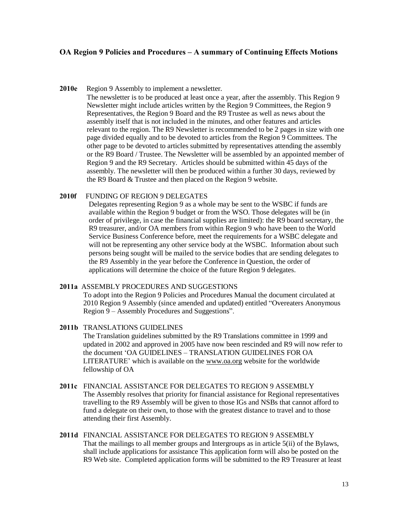2010e Region 9 Assembly to implement a newsletter.

The newsletter is to be produced at least once a year, after the assembly. This Region 9 Newsletter might include articles written by the Region 9 Committees, the Region 9 Representatives, the Region 9 Board and the R9 Trustee as well as news about the assembly itself that is not included in the minutes, and other features and articles relevant to the region. The R9 Newsletter is recommended to be 2 pages in size with one page divided equally and to be devoted to articles from the Region 9 Committees. The other page to be devoted to articles submitted by representatives attending the assembly or the R9 Board / Trustee. The Newsletter will be assembled by an appointed member of Region 9 and the R9 Secretary. Articles should be submitted within 45 days of the assembly. The newsletter will then be produced within a further 30 days, reviewed by the R9 Board & Trustee and then placed on the Region 9 website.

### 2010f FUNDING OF REGION 9 DELEGATES

Delegates representing Region 9 as a whole may be sent to the WSBC if funds are available within the Region 9 budget or from the WSO. Those delegates will be (in order of privilege, in case the financial supplies are limited): the R9 board secretary, the R9 treasurer, and/or OA members from within Region 9 who have been to the World Service Business Conference before, meet the requirements for a WSBC delegate and will not be representing any other service body at the WSBC. Information about such persons being sought will be mailed to the service bodies that are sending delegates to the R9 Assembly in the year before the Conference in Question, the order of applications will determine the choice of the future Region 9 delegates.

#### 2011a ASSEMBLY PROCEDURES AND SUGGESTIONS

To adopt into the Region 9 Policies and Procedures Manual the document circulated at 2010 Region 9 Assembly (since amended and updated) entitled "Overeaters Anonymous Region 9 – Assembly Procedures and Suggestions".

- 2011b TRANSLATIONS GUIDELINES The Translation guidelines submitted by the R9 Translations committee in 1999 and updated in 2002 and approved in 2005 have now been rescinded and R9 will now refer to the document 'OA GUIDELINES – TRANSLATION GUIDELINES FOR OA LITERATURE' which is available on the [www.oa.org](http://www.oa.org/) website for the worldwide fellowship of OA
- 2011c FINANCIAL ASSISTANCE FOR DELEGATES TO REGION 9 ASSEMBLY The Assembly resolves that priority for financial assistance for Regional representatives travelling to the R9 Assembly will be given to those IGs and NSBs that cannot afford to fund a delegate on their own, to those with the greatest distance to travel and to those attending their first Assembly.
- 2011d FINANCIAL ASSISTANCE FOR DELEGATES TO REGION 9 ASSEMBLY That the mailings to all member groups and Intergroups as in article 5(ii) of the Bylaws, shall include applications for assistance This application form will also be posted on the R9 Web site. Completed application forms will be submitted to the R9 Treasurer at least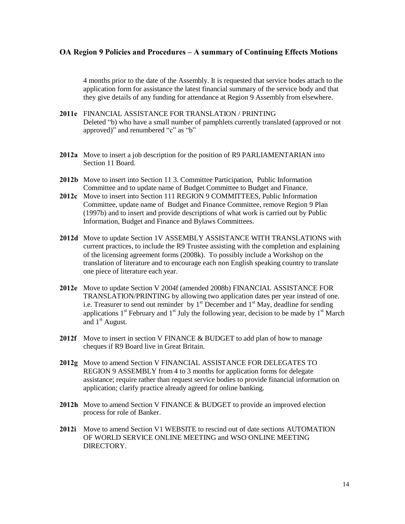4 months prior to the date of the Assembly. It is requested that service bodes attach to the application form for assistance the latest financial summary of the service body and that they give details of any funding for attendance at Region 9 Assembly from elsewhere.

- 2011e FINANCIAL ASSISTANCE FOR TRANSLATION / PRINTING Deleted "b) who have a small number of pamphlets currently translated (approved or not approved)" and renumbered "c" as "b"
- 2012a Move to insert a job description for the position of R9 PARLIAMENTARIAN into Section 11 Board.
- 2012b Move to insert into Section 11 3. Committee Participation, Public Information Committee and to update name of Budget Committee to Budget and Finance.
- 2012c Move to insert into Section 111 REGION 9 COMMITTEES, Public Information Committee, update name of Budget and Finance Committee, remove Region 9 Plan (1997b) and to insert and provide descriptions of what work is carried out by Public Information, Budget and Finance and Bylaws Committees.
- 2012d Move to update Section 1V ASSEMBLY ASSISTANCE WITH TRANSLATIONS with current practices, to include the R9 Trustee assisting with the completion and explaining of the licensing agreement forms (2008k). To possibly include a Workshop on the translation of literature and to encourage each non English speaking country to translate one piece of literature each year.
- 2012e Move to update Section V 2004f (amended 2008b) FINANCIAL ASSISTANCE FOR TRANSLATION/PRINTING by allowing two application dates per year instead of one. i.e. Treasurer to send out reminder by  $1<sup>st</sup>$  December and  $1<sup>st</sup>$  May, deadline for sending applications  $1<sup>st</sup>$  February and  $1<sup>st</sup>$  July the following year, decision to be made by  $1<sup>st</sup>$  March and  $1<sup>st</sup>$  August.
- 2012f Move to insert in section V FINANCE & BUDGET to add plan of how to manage cheques if R9 Board live in Great Britain.
- 2012g Move to amend Section V FINANCIAL ASSISTANCE FOR DELEGATES TO REGION 9 ASSEMBLY from 4 to 3 months for application forms for delegate assistance; require rather than request service bodies to provide financial information on application; clarify practice already agreed for online banking.
- 2012h Move to amend Section V FINANCE & BUDGET to provide an improved election process for role of Banker.
- 2012i Move to amend Section V1 WEBSITE to rescind out of date sections AUTOMATION OF WORLD SERVICE ONLINE MEETING and WSO ONLINE MEETING **DIRECTORY**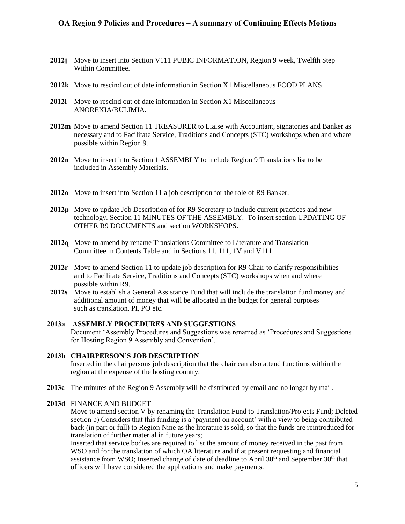- 2012j Move to insert into Section V111 PUBIC INFORMATION, Region 9 week, Twelfth Step Within Committee.
- 2012k Move to rescind out of date information in Section X1 Miscellaneous FOOD PLANS.
- 2012l Move to rescind out of date information in Section X1 Miscellaneous ANOREXIA/BULIMIA.
- 2012m Move to amend Section 11 TREASURER to Liaise with Accountant, signatories and Banker as necessary and to Facilitate Service, Traditions and Concepts (STC) workshops when and where possible within Region 9.
- 2012n Move to insert into Section 1 ASSEMBLY to include Region 9 Translations list to be included in Assembly Materials.
- 2012o Move to insert into Section 11 a job description for the role of R9 Banker.
- 2012p Move to update Job Description of for R9 Secretary to include current practices and new technology. Section 11 MINUTES OF THE ASSEMBLY. To insert section UPDATING OF OTHER R9 DOCUMENTS and section WORKSHOPS.
- 2012q Move to amend by rename Translations Committee to Literature and Translation Committee in Contents Table and in Sections 11, 111, 1V and V111.
- 2012r Move to amend Section 11 to update job description for R9 Chair to clarify responsibilities and to Facilitate Service, Traditions and Concepts (STC) workshops when and where possible within R9.
- 2012s Move to establish a General Assistance Fund that will include the translation fund money and additional amount of money that will be allocated in the budget for general purposes such as translation, PI, PO etc.

## 2013a ASSEMBLY PROCEDURES AND SUGGESTIONS Document 'Assembly Procedures and Suggestions was renamed as 'Procedures and Suggestions for Hosting Region 9 Assembly and Convention'.

#### 2013b CHAIRPERSON'S JOB DESCRIPTION Inserted in the chairpersons job description that the chair can also attend functions within the region at the expense of the hosting country.

2013c The minutes of the Region 9 Assembly will be distributed by email and no longer by mail.

#### 2013d FINANCE AND BUDGET

Move to amend section V by renaming the Translation Fund to Translation/Projects Fund; Deleted section b) Considers that this funding is a 'payment on account' with a view to being contributed back (in part or full) to Region Nine as the literature is sold, so that the funds are reintroduced for translation of further material in future years;

Inserted that service bodies are required to list the amount of money received in the past from WSO and for the translation of which OA literature and if at present requesting and financial assistance from WSO; Inserted change of date of deadline to April  $30<sup>th</sup>$  and September  $30<sup>th</sup>$  that officers will have considered the applications and make payments.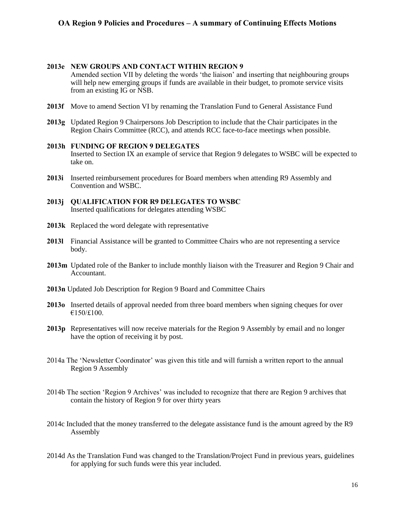### 2013e NEW GROUPS AND CONTACT WITHIN REGION 9

Amended section VII by deleting the words 'the liaison' and inserting that neighbouring groups will help new emerging groups if funds are available in their budget, to promote service visits from an existing IG or NSB.

- 2013f Move to amend Section VI by renaming the Translation Fund to General Assistance Fund
- 2013g Updated Region 9 Chairpersons Job Description to include that the Chair participates in the Region Chairs Committee (RCC), and attends RCC face-to-face meetings when possible.

#### 2013h FUNDING OF REGION 9 DELEGATES Inserted to Section IX an example of service that Region 9 delegates to WSBC will be expected to take on.

- 2013i Inserted reimbursement procedures for Board members when attending R9 Assembly and Convention and WSBC.
- 2013j QUALIFICATION FOR R9 DELEGATES TO WSBC Inserted qualifications for delegates attending WSBC
- 2013k Replaced the word delegate with representative
- 2013l Financial Assistance will be granted to Committee Chairs who are not representing a service body.
- 2013m Updated role of the Banker to include monthly liaison with the Treasurer and Region 9 Chair and Accountant.
- 2013n Updated Job Description for Region 9 Board and Committee Chairs
- 2013o Inserted details of approval needed from three board members when signing cheques for over  $€150/£100.$
- 2013p Representatives will now receive materials for the Region 9 Assembly by email and no longer have the option of receiving it by post.
- 2014a The 'Newsletter Coordinator' was given this title and will furnish a written report to the annual Region 9 Assembly
- 2014b The section 'Region 9 Archives' was included to recognize that there are Region 9 archives that contain the history of Region 9 for over thirty years
- 2014c Included that the money transferred to the delegate assistance fund is the amount agreed by the R9 Assembly
- 2014d As the Translation Fund was changed to the Translation/Project Fund in previous years, guidelines for applying for such funds were this year included.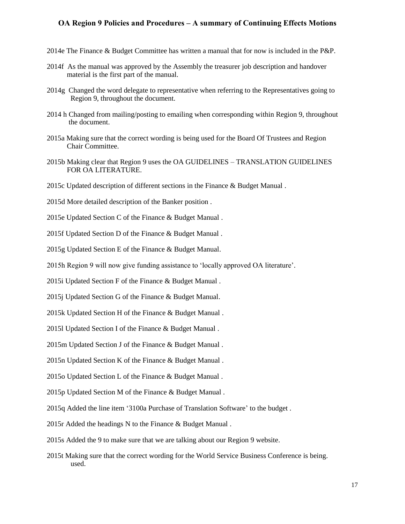- 2014e The Finance & Budget Committee has written a manual that for now is included in the P&P.
- 2014f As the manual was approved by the Assembly the treasurer job description and handover material is the first part of the manual.
- 2014g Changed the word delegate to representative when referring to the Representatives going to Region 9, throughout the document.
- 2014 h Changed from mailing/posting to emailing when corresponding within Region 9, throughout the document.
- 2015a Making sure that the correct wording is being used for the Board Of Trustees and Region Chair Committee.
- 2015b Making clear that Region 9 uses the OA GUIDELINES TRANSLATION GUIDELINES FOR OA LITERATURE.
- 2015c Updated description of different sections in the Finance & Budget Manual .
- 2015d More detailed description of the Banker position .
- 2015e Updated Section C of the Finance & Budget Manual .
- 2015f Updated Section D of the Finance & Budget Manual .
- 2015g Updated Section E of the Finance & Budget Manual.
- 2015h Region 9 will now give funding assistance to 'locally approved OA literature'.
- 2015i Updated Section F of the Finance & Budget Manual .
- 2015j Updated Section G of the Finance & Budget Manual.
- 2015k Updated Section H of the Finance & Budget Manual .
- 2015l Updated Section I of the Finance & Budget Manual .
- 2015m Updated Section J of the Finance & Budget Manual .
- 2015n Updated Section K of the Finance & Budget Manual .
- 2015o Updated Section L of the Finance & Budget Manual .
- 2015p Updated Section M of the Finance & Budget Manual .
- 2015q Added the line item '3100a Purchase of Translation Software' to the budget .
- 2015r Added the headings N to the Finance & Budget Manual .
- 2015s Added the 9 to make sure that we are talking about our Region 9 website.
- 2015t Making sure that the correct wording for the World Service Business Conference is being. used.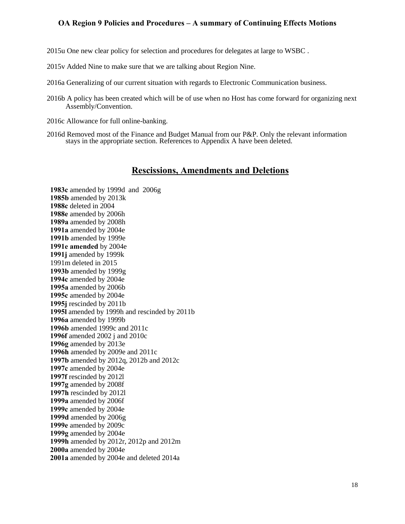2015u One new clear policy for selection and procedures for delegates at large to WSBC .

2015v Added Nine to make sure that we are talking about Region Nine.

- 2016a Generalizing of our current situation with regards to Electronic Communication business.
- 2016b A policy has been created which will be of use when no Host has come forward for organizing next Assembly/Convention.
- 2016c Allowance for full online-banking.
- 2016d Removed most of the Finance and Budget Manual from our P&P. Only the relevant information stays in the appropriate section. References to Appendix A have been deleted.

# Rescissions, Amendments and Deletions

1983c amended by 1999d and 2006g 1985b amended by 2013k 1988c deleted in 2004 1988e amended by 2006h 1989a amended by 2008h 1991a amended by 2004e 1991b amended by 1999e 1991e amended by 2004e 1991j amended by 1999k 1991m deleted in 2015 1993b amended by 1999g 1994c amended by 2004e 1995a amended by 2006b 1995c amended by 2004e 1995j rescinded by 2011b 1995l amended by 1999h and rescinded by 2011b 1996a amended by 1999b 1996b amended 1999c and 2011c 1996f amended 2002 j and 2010c 1996g amended by 2013e 1996h amended by 2009e and 2011c 1997b amended by 2012q, 2012b and 2012c 1997c amended by 2004e 1997f rescinded by 2012l 1997g amended by 2008f 1997h rescinded by 2012l 1999a amended by 2006f 1999c amended by 2004e 1999d amended by 2006g 1999e amended by 2009c 1999g amended by 2004e 1999h amended by 2012r, 2012p and 2012m 2000a amended by 2004e 2001a amended by 2004e and deleted 2014a